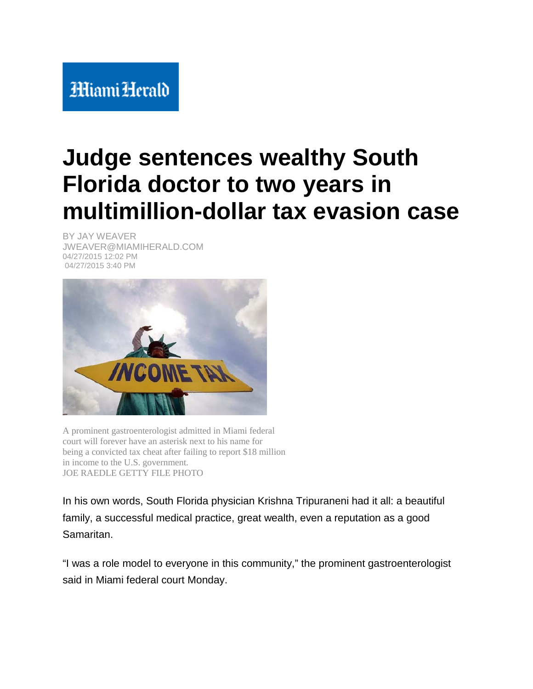## **HiamiHerald**

## **Judge sentences wealthy South Florida doctor to two years in multimillion-dollar tax evasion case**

BY JAY WEAVER JWEAVER@MIAMIHERALD.COM 04/27/2015 12:02 PM 04/27/2015 3:40 PM



A prominent gastroenterologist admitted in Miami federal court will forever have an asterisk next to his name for being a convicted tax cheat after failing to report \$18 million in income to the U.S. government. JOE RAEDLE GETTY FILE PHOTO

In his own words, South Florida physician Krishna Tripuraneni had it all: a beautiful family, a successful medical practice, great wealth, even a reputation as a good Samaritan.

"I was a role model to everyone in this community," the prominent gastroenterologist said in Miami federal court Monday.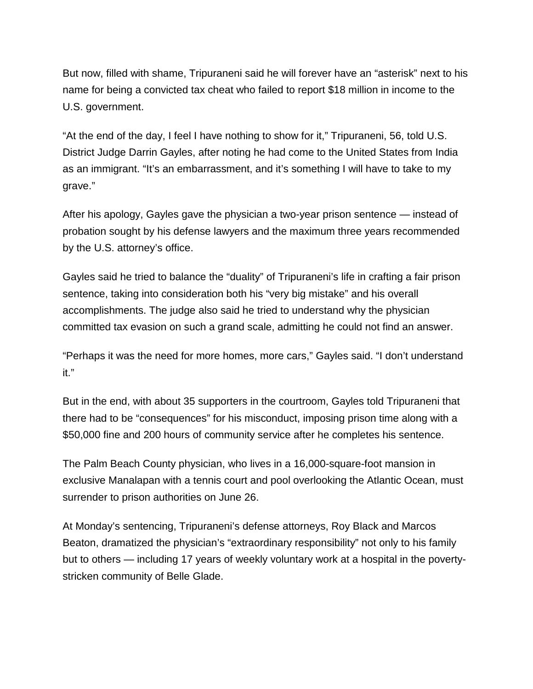But now, filled with shame, Tripuraneni said he will forever have an "asterisk" next to his name for being a convicted tax cheat who failed to report \$18 million in income to the U.S. government.

"At the end of the day, I feel I have nothing to show for it," Tripuraneni, 56, told U.S. District Judge Darrin Gayles, after noting he had come to the United States from India as an immigrant. "It's an embarrassment, and it's something I will have to take to my grave."

After his apology, Gayles gave the physician a two-year prison sentence — instead of probation sought by his defense lawyers and the maximum three years recommended by the U.S. attorney's office.

Gayles said he tried to balance the "duality" of Tripuraneni's life in crafting a fair prison sentence, taking into consideration both his "very big mistake" and his overall accomplishments. The judge also said he tried to understand why the physician committed tax evasion on such a grand scale, admitting he could not find an answer.

"Perhaps it was the need for more homes, more cars," Gayles said. "I don't understand it."

But in the end, with about 35 supporters in the courtroom, Gayles told Tripuraneni that there had to be "consequences" for his misconduct, imposing prison time along with a \$50,000 fine and 200 hours of community service after he completes his sentence.

The Palm Beach County physician, who lives in a 16,000-square-foot mansion in exclusive Manalapan with a tennis court and pool overlooking the Atlantic Ocean, must surrender to prison authorities on June 26.

At Monday's sentencing, Tripuraneni's defense attorneys, Roy Black and Marcos Beaton, dramatized the physician's "extraordinary responsibility" not only to his family but to others — including 17 years of weekly voluntary work at a hospital in the povertystricken community of Belle Glade.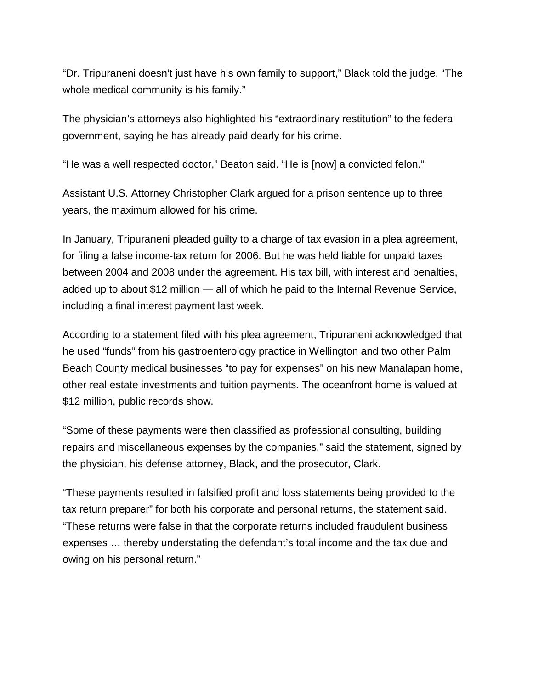"Dr. Tripuraneni doesn't just have his own family to support," Black told the judge. "The whole medical community is his family."

The physician's attorneys also highlighted his "extraordinary restitution" to the federal government, saying he has already paid dearly for his crime.

"He was a well respected doctor," Beaton said. "He is [now] a convicted felon."

Assistant U.S. Attorney Christopher Clark argued for a prison sentence up to three years, the maximum allowed for his crime.

In January, Tripuraneni pleaded guilty to a charge of tax evasion in a plea agreement, for filing a false income-tax return for 2006. But he was held liable for unpaid taxes between 2004 and 2008 under the agreement. His tax bill, with interest and penalties, added up to about \$12 million — all of which he paid to the Internal Revenue Service, including a final interest payment last week.

According to a statement filed with his plea agreement, Tripuraneni acknowledged that he used "funds" from his gastroenterology practice in Wellington and two other Palm Beach County medical businesses "to pay for expenses" on his new Manalapan home, other real estate investments and tuition payments. The oceanfront home is valued at \$12 million, public records show.

"Some of these payments were then classified as professional consulting, building repairs and miscellaneous expenses by the companies," said the statement, signed by the physician, his defense attorney, Black, and the prosecutor, Clark.

"These payments resulted in falsified profit and loss statements being provided to the tax return preparer" for both his corporate and personal returns, the statement said. "These returns were false in that the corporate returns included fraudulent business expenses … thereby understating the defendant's total income and the tax due and owing on his personal return."